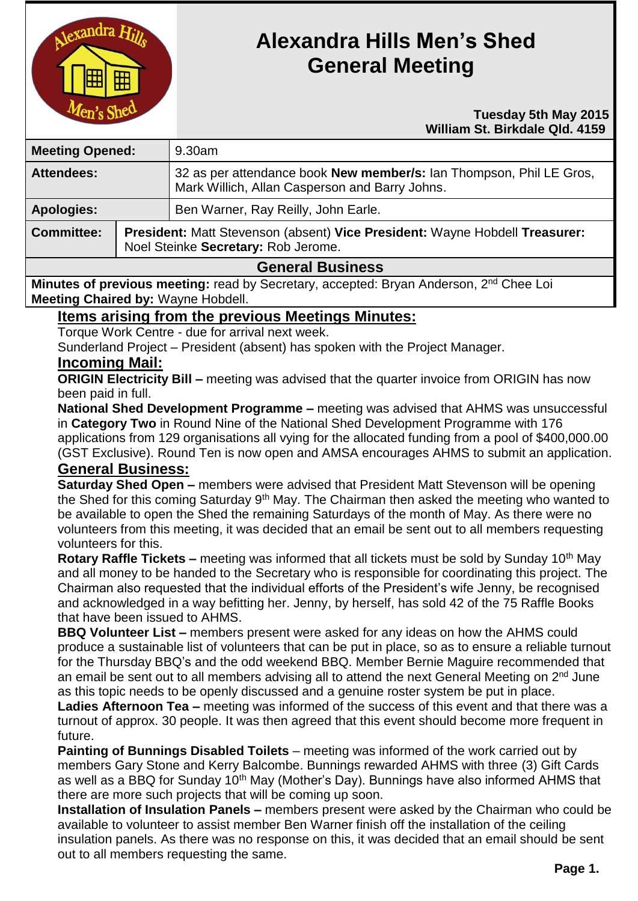

# **Alexandra Hills Men's Shed General Meeting**

#### **Tuesday 5th May 2015 William St. Birkdale Qld. 4159**

| <b>Meeting Opened:</b> |  | 9.30am                                                                                                                |  |
|------------------------|--|-----------------------------------------------------------------------------------------------------------------------|--|
| <b>Attendees:</b>      |  | 32 as per attendance book New member/s: Ian Thompson, Phil LE Gros,<br>Mark Willich, Allan Casperson and Barry Johns. |  |
| <b>Apologies:</b>      |  | Ben Warner, Ray Reilly, John Earle.                                                                                   |  |
| <b>Committee:</b>      |  | President: Matt Stevenson (absent) Vice President: Wayne Hobdell Treasurer:<br>Noel Steinke Secretary: Rob Jerome.    |  |
| Conoral Pucinose       |  |                                                                                                                       |  |

## **General Business**

**Minutes of previous meeting:** read by Secretary, accepted: Bryan Anderson, 2<sup>nd</sup> Chee Loi **Meeting Chaired by:** Wayne Hobdell.

## **Items arising from the previous Meetings Minutes:**

Torque Work Centre - due for arrival next week.

Sunderland Project – President (absent) has spoken with the Project Manager.

## **Incoming Mail:**

**ORIGIN Electricity Bill –** meeting was advised that the quarter invoice from ORIGIN has now been paid in full.

**National Shed Development Programme –** meeting was advised that AHMS was unsuccessful in **Category Two** in Round Nine of the National Shed Development Programme with 176 applications from 129 organisations all vying for the allocated funding from a pool of \$400,000.00 (GST Exclusive). Round Ten is now open and AMSA encourages AHMS to submit an application.

### **General Business:**

**Saturday Shed Open –** members were advised that President Matt Stevenson will be opening the Shed for this coming Saturday 9<sup>th</sup> May. The Chairman then asked the meeting who wanted to be available to open the Shed the remaining Saturdays of the month of May. As there were no volunteers from this meeting, it was decided that an email be sent out to all members requesting volunteers for this.

**Rotary Raffle Tickets –** meeting was informed that all tickets must be sold by Sunday 10<sup>th</sup> May and all money to be handed to the Secretary who is responsible for coordinating this project. The Chairman also requested that the individual efforts of the President's wife Jenny, be recognised and acknowledged in a way befitting her. Jenny, by herself, has sold 42 of the 75 Raffle Books that have been issued to AHMS.

**BBQ Volunteer List –** members present were asked for any ideas on how the AHMS could produce a sustainable list of volunteers that can be put in place, so as to ensure a reliable turnout for the Thursday BBQ's and the odd weekend BBQ. Member Bernie Maguire recommended that an email be sent out to all members advising all to attend the next General Meeting on 2<sup>nd</sup> June as this topic needs to be openly discussed and a genuine roster system be put in place.

**Ladies Afternoon Tea –** meeting was informed of the success of this event and that there was a turnout of approx. 30 people. It was then agreed that this event should become more frequent in future.

**Painting of Bunnings Disabled Toilets** – meeting was informed of the work carried out by members Gary Stone and Kerry Balcombe. Bunnings rewarded AHMS with three (3) Gift Cards as well as a BBQ for Sunday 10<sup>th</sup> May (Mother's Day). Bunnings have also informed AHMS that there are more such projects that will be coming up soon.

**Installation of Insulation Panels –** members present were asked by the Chairman who could be available to volunteer to assist member Ben Warner finish off the installation of the ceiling insulation panels. As there was no response on this, it was decided that an email should be sent out to all members requesting the same.